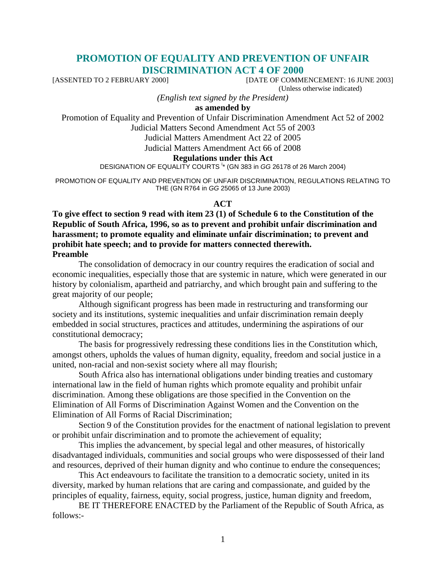# **PROMOTION OF EQUALITY AND PREVENTION OF UNFAIR DISCRIMINATION ACT 4 OF 2000**<br>[DATE OF COMM]

[DATE OF COMMENCEMENT: 16 JUNE 2003] (Unless otherwise indicated)

*(English text signed by the President)* 

**as amended by** 

Promotion of Equality and Prevention of Unfair Discrimination Amendment Act 52 of 2002 Judicial Matters Second Amendment Act 55 of 2003

Judicial Matters Amendment Act 22 of 2005

Judicial Matters Amendment Act 66 of 2008

**Regulations under this Act** 

DESIGNATION OF EQUALITY COURTS<sup>1\*</sup> (GN 383 in GG 26178 of 26 March 2004)

PROMOTION OF EQUALITY AND PREVENTION OF UNFAIR DISCRIMINATION, REGULATIONS RELATING TO THE (GN R764 in GG 25065 of 13 June 2003)

#### **ACT**

**To give effect to section 9 read with item 23 (1) of Schedule 6 to the Constitution of the Republic of South Africa, 1996, so as to prevent and prohibit unfair discrimination and harassment; to promote equality and eliminate unfair discrimination; to prevent and prohibit hate speech; and to provide for matters connected therewith. Preamble** 

 The consolidation of democracy in our country requires the eradication of social and economic inequalities, especially those that are systemic in nature, which were generated in our history by colonialism, apartheid and patriarchy, and which brought pain and suffering to the great majority of our people;

 Although significant progress has been made in restructuring and transforming our society and its institutions, systemic inequalities and unfair discrimination remain deeply embedded in social structures, practices and attitudes, undermining the aspirations of our constitutional democracy;

 The basis for progressively redressing these conditions lies in the Constitution which, amongst others, upholds the values of human dignity, equality, freedom and social justice in a united, non-racial and non-sexist society where all may flourish;

 South Africa also has international obligations under binding treaties and customary international law in the field of human rights which promote equality and prohibit unfair discrimination. Among these obligations are those specified in the Convention on the Elimination of All Forms of Discrimination Against Women and the Convention on the Elimination of All Forms of Racial Discrimination;

 Section 9 of the Constitution provides for the enactment of national legislation to prevent or prohibit unfair discrimination and to promote the achievement of equality;

 This implies the advancement, by special legal and other measures, of historically disadvantaged individuals, communities and social groups who were dispossessed of their land and resources, deprived of their human dignity and who continue to endure the consequences;

 This Act endeavours to facilitate the transition to a democratic society, united in its diversity, marked by human relations that are caring and compassionate, and guided by the principles of equality, fairness, equity, social progress, justice, human dignity and freedom,

 BE IT THEREFORE ENACTED by the Parliament of the Republic of South Africa, as follows:-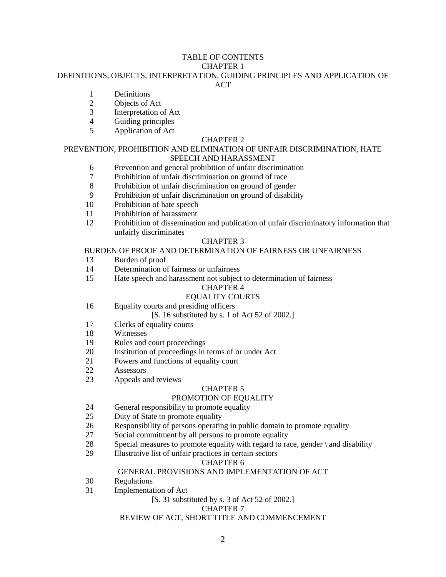# TABLE OF CONTENTS

#### CHAPTER 1

# DEFINITIONS, OBJECTS, INTERPRETATION, GUIDING PRINCIPLES AND APPLICATION OF

ACT

- 1 Definitions
- 2 Objects of Act
- 3 Interpretation of Act
- 4 Guiding principles
- 5 Application of Act

#### CHAPTER 2

#### PREVENTION, PROHIBITION AND ELIMINATION OF UNFAIR DISCRIMINATION, HATE SPEECH AND HARASSMENT

- 6 Prevention and general prohibition of unfair discrimination<br>7 Prohibition of unfair discrimination on ground of race
- Prohibition of unfair discrimination on ground of race
- 8 Prohibition of unfair discrimination on ground of gender
- 9 Prohibition of unfair discrimination on ground of disability
- 10 Prohibition of hate speech
- 11 Prohibition of harassment
- 12 Prohibition of dissemination and publication of unfair discriminatory information that unfairly discriminates

#### CHAPTER 3

#### BURDEN OF PROOF AND DETERMINATION OF FAIRNESS OR UNFAIRNESS

- 13 Burden of proof<br>14 Determination of
- Determination of fairness or unfairness
- 15 Hate speech and harassment not subject to determination of fairness

# CHAPTER 4

#### EQUALITY COURTS

16 Equality courts and presiding officers

[S. 16 substituted by s. 1 of Act 52 of 2002.]

- 17 Clerks of equality courts
- 18 Witnesses
- 19 Rules and court proceedings
- 20 Institution of proceedings in terms of or under Act<br>21 Powers and functions of equality court
- Powers and functions of equality court
- 22 Assessors
- 23 Appeals and reviews

#### CHAPTER 5

#### PROMOTION OF EQUALITY

- 24 General responsibility to promote equality
- 25 Duty of State to promote equality
- 26 Responsibility of persons operating in public domain to promote equality
- 27 Social commitment by all persons to promote equality
- 28 Special measures to promote equality with regard to race, gender \ and disability
- 29 Illustrative list of unfair practices in certain sectors

#### CHAPTER 6

#### GENERAL PROVISIONS AND IMPLEMENTATION OF ACT

- 30 Regulations
- 31 Implementation of Act

[S. 31 substituted by s. 3 of Act 52 of 2002.]

#### CHAPTER 7

#### REVIEW OF ACT, SHORT TITLE AND COMMENCEMENT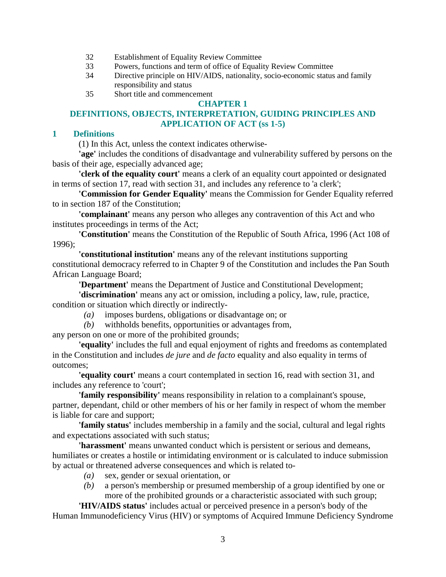- 32 Establishment of Equality Review Committee
- 33 Powers, functions and term of office of Equality Review Committee
- 34 Directive principle on HIV/AIDS, nationality, socio-economic status and family responsibility and status
- 35 Short title and commencement

#### **CHAPTER 1**

#### **DEFINITIONS, OBJECTS, INTERPRETATION, GUIDING PRINCIPLES AND APPLICATION OF ACT (ss 1-5)**

#### **1 Definitions**

(1) In this Act, unless the context indicates otherwise-

**'age'** includes the conditions of disadvantage and vulnerability suffered by persons on the basis of their age, especially advanced age;

**'clerk of the equality court'** means a clerk of an equality court appointed or designated in terms of section 17, read with section 31, and includes any reference to 'a clerk';

**'Commission for Gender Equality'** means the Commission for Gender Equality referred to in section 187 of the Constitution;

**'complainant'** means any person who alleges any contravention of this Act and who institutes proceedings in terms of the Act;

**'Constitution'** means the Constitution of the Republic of South Africa, 1996 (Act 108 of 1996);

**'constitutional institution'** means any of the relevant institutions supporting constitutional democracy referred to in Chapter 9 of the Constitution and includes the Pan South African Language Board;

**'Department'** means the Department of Justice and Constitutional Development;

**'discrimination'** means any act or omission, including a policy, law, rule, practice, condition or situation which directly or indirectly-

- *(a)* imposes burdens, obligations or disadvantage on; or
- *(b)* withholds benefits, opportunities or advantages from,

any person on one or more of the prohibited grounds;

**'equality'** includes the full and equal enjoyment of rights and freedoms as contemplated in the Constitution and includes *de jure* and *de facto* equality and also equality in terms of outcomes;

**'equality court'** means a court contemplated in section 16, read with section 31, and includes any reference to 'court';

**'family responsibility'** means responsibility in relation to a complainant's spouse, partner, dependant, child or other members of his or her family in respect of whom the member is liable for care and support;

**'family status'** includes membership in a family and the social, cultural and legal rights and expectations associated with such status;

**'harassment'** means unwanted conduct which is persistent or serious and demeans, humiliates or creates a hostile or intimidating environment or is calculated to induce submission by actual or threatened adverse consequences and which is related to-

- *(a)* sex, gender or sexual orientation, or
- *(b)* a person's membership or presumed membership of a group identified by one or more of the prohibited grounds or a characteristic associated with such group;

**'HIV/AIDS status'** includes actual or perceived presence in a person's body of the Human Immunodeficiency Virus (HIV) or symptoms of Acquired Immune Deficiency Syndrome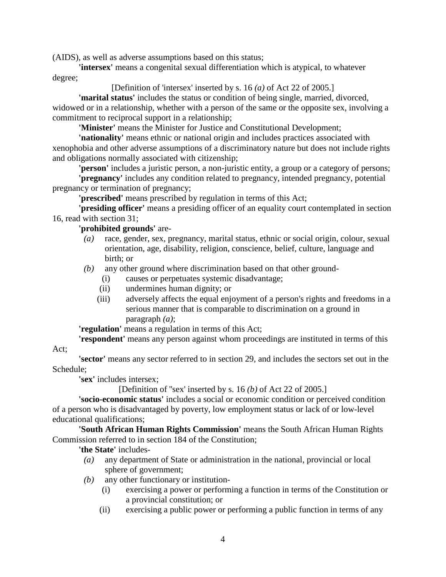(AIDS), as well as adverse assumptions based on this status;

**'intersex'** means a congenital sexual differentiation which is atypical, to whatever degree;

[Definition of 'intersex' inserted by s. 16 *(a)* of Act 22 of 2005.]

**'marital status'** includes the status or condition of being single, married, divorced, widowed or in a relationship, whether with a person of the same or the opposite sex, involving a commitment to reciprocal support in a relationship;

**'Minister'** means the Minister for Justice and Constitutional Development;

**'nationality'** means ethnic or national origin and includes practices associated with xenophobia and other adverse assumptions of a discriminatory nature but does not include rights and obligations normally associated with citizenship;

**'person'** includes a juristic person, a non-juristic entity, a group or a category of persons;

**'pregnancy'** includes any condition related to pregnancy, intended pregnancy, potential pregnancy or termination of pregnancy;

**'prescribed'** means prescribed by regulation in terms of this Act;

**'presiding officer'** means a presiding officer of an equality court contemplated in section 16, read with section 31;

**'prohibited grounds'** are-

- *(a)* race, gender, sex, pregnancy, marital status, ethnic or social origin, colour, sexual orientation, age, disability, religion, conscience, belief, culture, language and birth; or
- *(b)* any other ground where discrimination based on that other ground-
	- (i) causes or perpetuates systemic disadvantage;
	- (ii) undermines human dignity; or
	- (iii) adversely affects the equal enjoyment of a person's rights and freedoms in a serious manner that is comparable to discrimination on a ground in paragraph *(a)*;

**'regulation'** means a regulation in terms of this Act;

**'respondent'** means any person against whom proceedings are instituted in terms of this Act;

**'sector'** means any sector referred to in section 29, and includes the sectors set out in the Schedule;

**'sex'** includes intersex;

[Definition of ''sex' inserted by s. 16 *(b)* of Act 22 of 2005.]

**'socio-economic status'** includes a social or economic condition or perceived condition of a person who is disadvantaged by poverty, low employment status or lack of or low-level educational qualifications;

**'South African Human Rights Commission'** means the South African Human Rights Commission referred to in section 184 of the Constitution;

**'the State'** includes-

- *(a)* any department of State or administration in the national, provincial or local sphere of government;
- *(b)* any other functionary or institution-
	- (i) exercising a power or performing a function in terms of the Constitution or a provincial constitution; or
	- (ii) exercising a public power or performing a public function in terms of any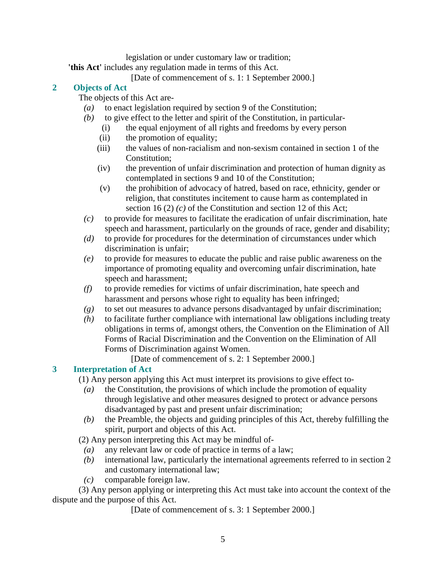legislation or under customary law or tradition;

**'this Act'** includes any regulation made in terms of this Act.

[Date of commencement of s. 1: 1 September 2000.]

#### **2 Objects of Act**

The objects of this Act are-

- *(a)* to enact legislation required by section 9 of the Constitution;
- *(b)* to give effect to the letter and spirit of the Constitution, in particular-
	- (i) the equal enjoyment of all rights and freedoms by every person
	- (ii) the promotion of equality;
	- (iii) the values of non-racialism and non-sexism contained in section 1 of the Constitution:
	- (iv) the prevention of unfair discrimination and protection of human dignity as contemplated in sections 9 and 10 of the Constitution;
	- (v) the prohibition of advocacy of hatred, based on race, ethnicity, gender or religion, that constitutes incitement to cause harm as contemplated in section 16 (2) *(c)* of the Constitution and section 12 of this Act;
- *(c)* to provide for measures to facilitate the eradication of unfair discrimination, hate speech and harassment, particularly on the grounds of race, gender and disability;
- *(d)* to provide for procedures for the determination of circumstances under which discrimination is unfair;
- *(e)* to provide for measures to educate the public and raise public awareness on the importance of promoting equality and overcoming unfair discrimination, hate speech and harassment;
- *(f)* to provide remedies for victims of unfair discrimination, hate speech and harassment and persons whose right to equality has been infringed;
- *(g)* to set out measures to advance persons disadvantaged by unfair discrimination;
- *(h)* to facilitate further compliance with international law obligations including treaty obligations in terms of, amongst others, the Convention on the Elimination of All Forms of Racial Discrimination and the Convention on the Elimination of All Forms of Discrimination against Women.

[Date of commencement of s. 2: 1 September 2000.]

### **3 Interpretation of Act**

(1) Any person applying this Act must interpret its provisions to give effect to-

- *(a)* the Constitution, the provisions of which include the promotion of equality through legislative and other measures designed to protect or advance persons disadvantaged by past and present unfair discrimination;
- *(b)* the Preamble, the objects and guiding principles of this Act, thereby fulfilling the spirit, purport and objects of this Act.

(2) Any person interpreting this Act may be mindful of-

- *(a)* any relevant law or code of practice in terms of a law;
- *(b)* international law, particularly the international agreements referred to in section 2 and customary international law;

*(c)* comparable foreign law.

 (3) Any person applying or interpreting this Act must take into account the context of the dispute and the purpose of this Act.

[Date of commencement of s. 3: 1 September 2000.]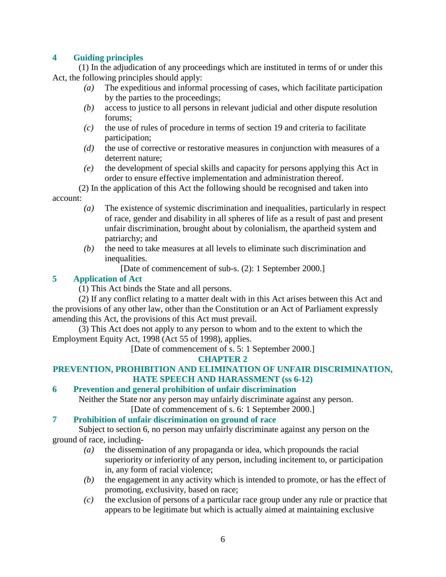#### **4 Guiding principles**

 (1) In the adjudication of any proceedings which are instituted in terms of or under this Act, the following principles should apply:

- *(a)* The expeditious and informal processing of cases, which facilitate participation by the parties to the proceedings;
- *(b)* access to justice to all persons in relevant judicial and other dispute resolution forums;
- *(c)* the use of rules of procedure in terms of section 19 and criteria to facilitate participation;
- *(d)* the use of corrective or restorative measures in conjunction with measures of a deterrent nature;
- *(e)* the development of special skills and capacity for persons applying this Act in order to ensure effective implementation and administration thereof.
- (2) In the application of this Act the following should be recognised and taken into account:
	- *(a)* The existence of systemic discrimination and inequalities, particularly in respect of race, gender and disability in all spheres of life as a result of past and present unfair discrimination, brought about by colonialism, the apartheid system and patriarchy; and
	- *(b)* the need to take measures at all levels to eliminate such discrimination and inequalities.

[Date of commencement of sub-s. (2): 1 September 2000.]

### **5 Application of Act**

(1) This Act binds the State and all persons.

 (2) If any conflict relating to a matter dealt with in this Act arises between this Act and the provisions of any other law, other than the Constitution or an Act of Parliament expressly amending this Act, the provisions of this Act must prevail.

 (3) This Act does not apply to any person to whom and to the extent to which the Employment Equity Act, 1998 (Act 55 of 1998), applies.

[Date of commencement of s. 5: 1 September 2000.]

**CHAPTER 2** 

## **PREVENTION, PROHIBITION AND ELIMINATION OF UNFAIR DISCRIMINATION, HATE SPEECH AND HARASSMENT (ss 6-12)**

### **6 Prevention and general prohibition of unfair discrimination**

Neither the State nor any person may unfairly discriminate against any person.

[Date of commencement of s. 6: 1 September 2000.]

### **7 Prohibition of unfair discrimination on ground of race**

 Subject to section 6, no person may unfairly discriminate against any person on the ground of race, including-

- *(a)* the dissemination of any propaganda or idea, which propounds the racial superiority or inferiority of any person, including incitement to, or participation in, any form of racial violence;
- *(b)* the engagement in any activity which is intended to promote, or has the effect of promoting, exclusivity, based on race;
- *(c)* the exclusion of persons of a particular race group under any rule or practice that appears to be legitimate but which is actually aimed at maintaining exclusive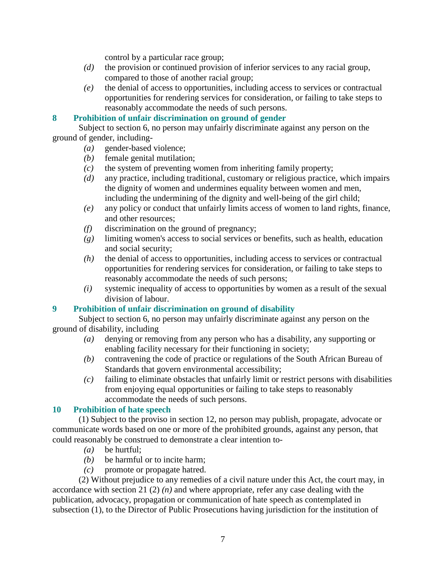control by a particular race group;

- *(d)* the provision or continued provision of inferior services to any racial group, compared to those of another racial group;
- *(e)* the denial of access to opportunities, including access to services or contractual opportunities for rendering services for consideration, or failing to take steps to reasonably accommodate the needs of such persons.

#### **8 Prohibition of unfair discrimination on ground of gender**

 Subject to section 6, no person may unfairly discriminate against any person on the ground of gender, including-

- *(a)* gender-based violence;
- *(b)* female genital mutilation;
- *(c)* the system of preventing women from inheriting family property;
- *(d)* any practice, including traditional, customary or religious practice, which impairs the dignity of women and undermines equality between women and men, including the undermining of the dignity and well-being of the girl child;
- *(e)* any policy or conduct that unfairly limits access of women to land rights, finance, and other resources;
- *(f)* discrimination on the ground of pregnancy;
- *(g)* limiting women's access to social services or benefits, such as health, education and social security;
- *(h)* the denial of access to opportunities, including access to services or contractual opportunities for rendering services for consideration, or failing to take steps to reasonably accommodate the needs of such persons;
- *(i)* systemic inequality of access to opportunities by women as a result of the sexual division of labour.

#### **9 Prohibition of unfair discrimination on ground of disability**

 Subject to section 6, no person may unfairly discriminate against any person on the ground of disability, including

- *(a)* denying or removing from any person who has a disability, any supporting or enabling facility necessary for their functioning in society;
- *(b)* contravening the code of practice or regulations of the South African Bureau of Standards that govern environmental accessibility;
- *(c)* failing to eliminate obstacles that unfairly limit or restrict persons with disabilities from enjoying equal opportunities or failing to take steps to reasonably accommodate the needs of such persons.

#### **10 Prohibition of hate speech**

 (1) Subject to the proviso in section 12, no person may publish, propagate, advocate or communicate words based on one or more of the prohibited grounds, against any person, that could reasonably be construed to demonstrate a clear intention to-

- *(a)* be hurtful;
- *(b)* be harmful or to incite harm;
- *(c)* promote or propagate hatred.

 (2) Without prejudice to any remedies of a civil nature under this Act, the court may, in accordance with section 21 (2) *(n)* and where appropriate, refer any case dealing with the publication, advocacy, propagation or communication of hate speech as contemplated in subsection (1), to the Director of Public Prosecutions having jurisdiction for the institution of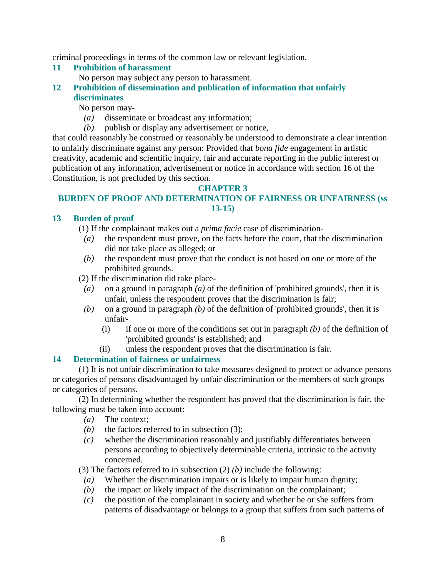criminal proceedings in terms of the common law or relevant legislation.

#### **11 Prohibition of harassment**

No person may subject any person to harassment.

#### **12 Prohibition of dissemination and publication of information that unfairly discriminates**

No person may-

- *(a)* disseminate or broadcast any information;
- *(b)* publish or display any advertisement or notice,

that could reasonably be construed or reasonably be understood to demonstrate a clear intention to unfairly discriminate against any person: Provided that *bona fide* engagement in artistic creativity, academic and scientific inquiry, fair and accurate reporting in the public interest or publication of any information, advertisement or notice in accordance with section 16 of the Constitution, is not precluded by this section.

### **CHAPTER 3**

#### **BURDEN OF PROOF AND DETERMINATION OF FAIRNESS OR UNFAIRNESS (ss 13-15)**

#### **13 Burden of proof**

(1) If the complainant makes out a *prima facie* case of discrimination-

- *(a)* the respondent must prove, on the facts before the court, that the discrimination did not take place as alleged; or
- *(b)* the respondent must prove that the conduct is not based on one or more of the prohibited grounds.

(2) If the discrimination did take place-

- *(a)* on a ground in paragraph *(a)* of the definition of 'prohibited grounds', then it is unfair, unless the respondent proves that the discrimination is fair;
- *(b)* on a ground in paragraph *(b)* of the definition of 'prohibited grounds', then it is unfair-
	- (i) if one or more of the conditions set out in paragraph *(b)* of the definition of 'prohibited grounds' is established; and
	- (ii) unless the respondent proves that the discrimination is fair.

#### **14 Determination of fairness or unfairness**

 (1) It is not unfair discrimination to take measures designed to protect or advance persons or categories of persons disadvantaged by unfair discrimination or the members of such groups or categories of persons.

 (2) In determining whether the respondent has proved that the discrimination is fair, the following must be taken into account:

- *(a)* The context;
- $(b)$  the factors referred to in subsection (3);
- *(c)* whether the discrimination reasonably and justifiably differentiates between persons according to objectively determinable criteria, intrinsic to the activity concerned.

(3) The factors referred to in subsection (2) *(b)* include the following:

- *(a)* Whether the discrimination impairs or is likely to impair human dignity;
- *(b)* the impact or likely impact of the discrimination on the complainant;
- *(c)* the position of the complainant in society and whether he or she suffers from patterns of disadvantage or belongs to a group that suffers from such patterns of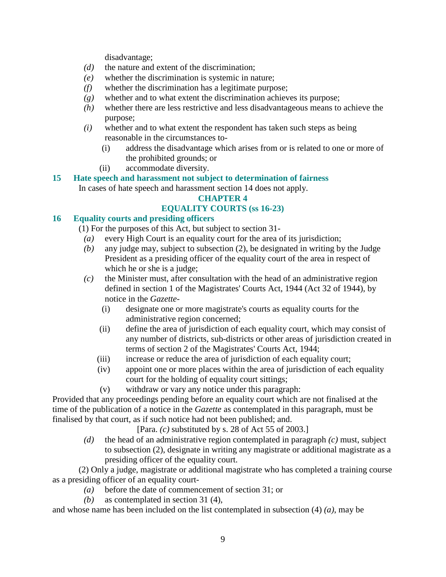disadvantage;

- *(d)* the nature and extent of the discrimination;
- *(e)* whether the discrimination is systemic in nature;
- *(f)* whether the discrimination has a legitimate purpose;
- *(g)* whether and to what extent the discrimination achieves its purpose;
- *(h)* whether there are less restrictive and less disadvantageous means to achieve the purpose;
- *(i)* whether and to what extent the respondent has taken such steps as being reasonable in the circumstances to-
	- (i) address the disadvantage which arises from or is related to one or more of the prohibited grounds; or
	- (ii) accommodate diversity.

### **15 Hate speech and harassment not subject to determination of fairness**

In cases of hate speech and harassment section 14 does not apply.

#### **CHAPTER 4**

# **EQUALITY COURTS (ss 16-23)**

### **16 Equality courts and presiding officers**

(1) For the purposes of this Act, but subject to section 31-

- *(a)* every High Court is an equality court for the area of its jurisdiction;
- *(b)* any judge may, subject to subsection (2), be designated in writing by the Judge President as a presiding officer of the equality court of the area in respect of which he or she is a judge;
- *(c)* the Minister must, after consultation with the head of an administrative region defined in section 1 of the Magistrates' Courts Act, 1944 (Act 32 of 1944), by notice in the *Gazette*-
	- (i) designate one or more magistrate's courts as equality courts for the administrative region concerned;
	- (ii) define the area of jurisdiction of each equality court, which may consist of any number of districts, sub-districts or other areas of jurisdiction created in terms of section 2 of the Magistrates' Courts Act, 1944;
	- (iii) increase or reduce the area of jurisdiction of each equality court;
	- (iv) appoint one or more places within the area of jurisdiction of each equality court for the holding of equality court sittings;
	- (v) withdraw or vary any notice under this paragraph:

Provided that any proceedings pending before an equality court which are not finalised at the time of the publication of a notice in the *Gazette* as contemplated in this paragraph, must be finalised by that court, as if such notice had not been published; and.

[Para. *(c)* substituted by s. 28 of Act 55 of 2003.]

 *(d)* the head of an administrative region contemplated in paragraph *(c)* must, subject to subsection (2), designate in writing any magistrate or additional magistrate as a presiding officer of the equality court.

 (2) Only a judge, magistrate or additional magistrate who has completed a training course as a presiding officer of an equality court-

- *(a)* before the date of commencement of section 31; or
- *(b)* as contemplated in section 31 (4),

and whose name has been included on the list contemplated in subsection (4) *(a)*, may be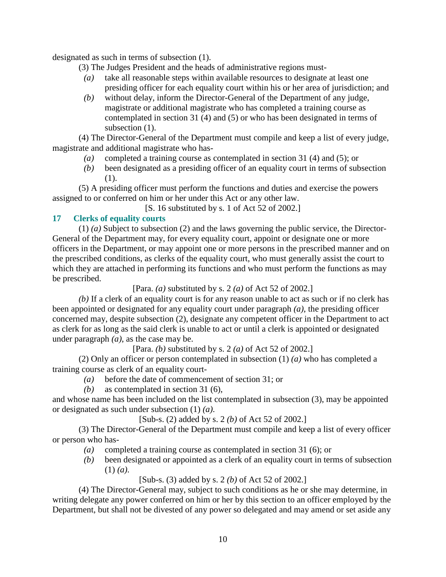designated as such in terms of subsection (1).

- (3) The Judges President and the heads of administrative regions must-
- *(a)* take all reasonable steps within available resources to designate at least one presiding officer for each equality court within his or her area of jurisdiction; and
- *(b)* without delay, inform the Director-General of the Department of any judge, magistrate or additional magistrate who has completed a training course as contemplated in section 31 (4) and (5) or who has been designated in terms of subsection  $(1)$ .

 (4) The Director-General of the Department must compile and keep a list of every judge, magistrate and additional magistrate who has-

- *(a)* completed a training course as contemplated in section 31 (4) and (5); or
- *(b)* been designated as a presiding officer of an equality court in terms of subsection (1).

 (5) A presiding officer must perform the functions and duties and exercise the powers assigned to or conferred on him or her under this Act or any other law.

[S. 16 substituted by s. 1 of Act 52 of 2002.]

### **17 Clerks of equality courts**

 (1) *(a)* Subject to subsection (2) and the laws governing the public service, the Director-General of the Department may, for every equality court, appoint or designate one or more officers in the Department, or may appoint one or more persons in the prescribed manner and on the prescribed conditions, as clerks of the equality court, who must generally assist the court to which they are attached in performing its functions and who must perform the functions as may be prescribed.

[Para. *(a)* substituted by s. 2 *(a)* of Act 52 of 2002.]

*(b)* If a clerk of an equality court is for any reason unable to act as such or if no clerk has been appointed or designated for any equality court under paragraph *(a)*, the presiding officer concerned may, despite subsection (2), designate any competent officer in the Department to act as clerk for as long as the said clerk is unable to act or until a clerk is appointed or designated under paragraph *(a)*, as the case may be.

[Para. *(b)* substituted by s. 2 *(a)* of Act 52 of 2002.]

 (2) Only an officer or person contemplated in subsection (1) *(a)* who has completed a training course as clerk of an equality court-

- *(a)* before the date of commencement of section 31; or
- *(b)* as contemplated in section 31 (6),

and whose name has been included on the list contemplated in subsection (3), may be appointed or designated as such under subsection (1) *(a)*.

[Sub-s. (2) added by s. 2 *(b)* of Act 52 of 2002.]

 (3) The Director-General of the Department must compile and keep a list of every officer or person who has-

- *(a)* completed a training course as contemplated in section 31 (6); or
- *(b)* been designated or appointed as a clerk of an equality court in terms of subsection (1) *(a)*.

[Sub-s. (3) added by s. 2 *(b)* of Act 52 of 2002.]

 (4) The Director-General may, subject to such conditions as he or she may determine, in writing delegate any power conferred on him or her by this section to an officer employed by the Department, but shall not be divested of any power so delegated and may amend or set aside any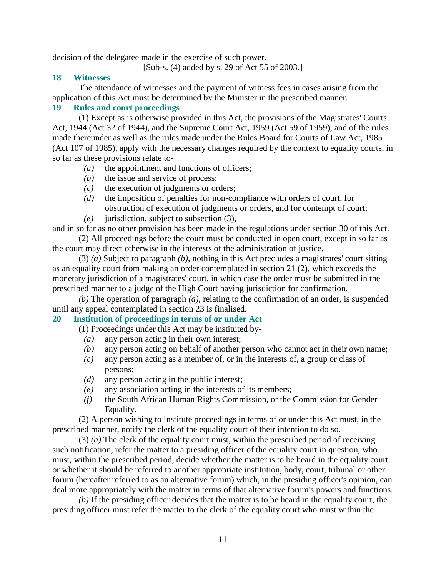decision of the delegatee made in the exercise of such power.

[Sub-s. (4) added by s. 29 of Act 55 of 2003.]

#### **18 Witnesses**

 The attendance of witnesses and the payment of witness fees in cases arising from the application of this Act must be determined by the Minister in the prescribed manner.

#### **19 Rules and court proceedings**

 (1) Except as is otherwise provided in this Act, the provisions of the Magistrates' Courts Act, 1944 (Act 32 of 1944), and the Supreme Court Act, 1959 (Act 59 of 1959), and of the rules made thereunder as well as the rules made under the Rules Board for Courts of Law Act, 1985 (Act 107 of 1985), apply with the necessary changes required by the context to equality courts, in so far as these provisions relate to-

- *(a)* the appointment and functions of officers;
- *(b)* the issue and service of process;
- *(c)* the execution of judgments or orders;
- *(d)* the imposition of penalties for non-compliance with orders of court, for obstruction of execution of judgments or orders, and for contempt of court;
- *(e)* jurisdiction, subject to subsection (3),

and in so far as no other provision has been made in the regulations under section 30 of this Act.

 (2) All proceedings before the court must be conducted in open court, except in so far as the court may direct otherwise in the interests of the administration of justice.

 (3) *(a)* Subject to paragraph *(b)*, nothing in this Act precludes a magistrates' court sitting as an equality court from making an order contemplated in section 21 (2), which exceeds the monetary jurisdiction of a magistrates' court, in which case the order must be submitted in the prescribed manner to a judge of the High Court having jurisdiction for confirmation.

*(b)* The operation of paragraph *(a)*, relating to the confirmation of an order, is suspended until any appeal contemplated in section 23 is finalised.

#### **20 Institution of proceedings in terms of or under Act**

(1) Proceedings under this Act may be instituted by-

- *(a)* any person acting in their own interest;
- *(b)* any person acting on behalf of another person who cannot act in their own name;
- *(c)* any person acting as a member of, or in the interests of, a group or class of persons;
- *(d)* any person acting in the public interest;
- *(e)* any association acting in the interests of its members;
- *(f)* the South African Human Rights Commission, or the Commission for Gender Equality.

 (2) A person wishing to institute proceedings in terms of or under this Act must, in the prescribed manner, notify the clerk of the equality court of their intention to do so.

 (3) *(a)* The clerk of the equality court must, within the prescribed period of receiving such notification, refer the matter to a presiding officer of the equality court in question, who must, within the prescribed period, decide whether the matter is to be heard in the equality court or whether it should be referred to another appropriate institution, body, court, tribunal or other forum (hereafter referred to as an alternative forum) which, in the presiding officer's opinion, can deal more appropriately with the matter in terms of that alternative forum's powers and functions.

*(b)* If the presiding officer decides that the matter is to be heard in the equality court, the presiding officer must refer the matter to the clerk of the equality court who must within the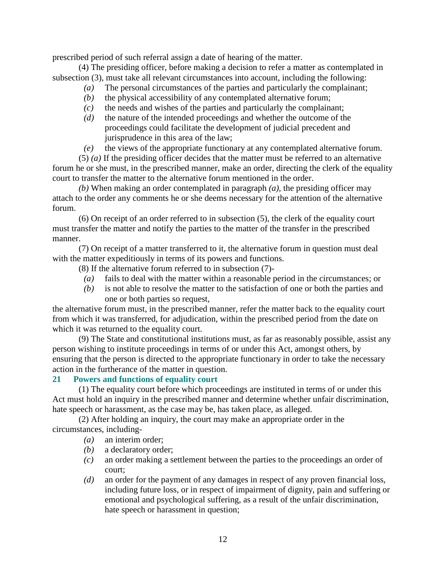prescribed period of such referral assign a date of hearing of the matter.

 (4) The presiding officer, before making a decision to refer a matter as contemplated in subsection (3), must take all relevant circumstances into account, including the following:

- *(a)* The personal circumstances of the parties and particularly the complainant;
- *(b)* the physical accessibility of any contemplated alternative forum;
- *(c)* the needs and wishes of the parties and particularly the complainant;
- *(d)* the nature of the intended proceedings and whether the outcome of the proceedings could facilitate the development of judicial precedent and jurisprudence in this area of the law;
- *(e)* the views of the appropriate functionary at any contemplated alternative forum.

 (5) *(a)* If the presiding officer decides that the matter must be referred to an alternative forum he or she must, in the prescribed manner, make an order, directing the clerk of the equality court to transfer the matter to the alternative forum mentioned in the order.

*(b)* When making an order contemplated in paragraph *(a)*, the presiding officer may attach to the order any comments he or she deems necessary for the attention of the alternative forum.

 (6) On receipt of an order referred to in subsection (5), the clerk of the equality court must transfer the matter and notify the parties to the matter of the transfer in the prescribed manner.

 (7) On receipt of a matter transferred to it, the alternative forum in question must deal with the matter expeditiously in terms of its powers and functions.

- (8) If the alternative forum referred to in subsection (7)-
- *(a)* fails to deal with the matter within a reasonable period in the circumstances; or
- *(b)* is not able to resolve the matter to the satisfaction of one or both the parties and one or both parties so request,

the alternative forum must, in the prescribed manner, refer the matter back to the equality court from which it was transferred, for adjudication, within the prescribed period from the date on which it was returned to the equality court.

 (9) The State and constitutional institutions must, as far as reasonably possible, assist any person wishing to institute proceedings in terms of or under this Act, amongst others, by ensuring that the person is directed to the appropriate functionary in order to take the necessary action in the furtherance of the matter in question.

#### **21 Powers and functions of equality court**

 (1) The equality court before which proceedings are instituted in terms of or under this Act must hold an inquiry in the prescribed manner and determine whether unfair discrimination, hate speech or harassment, as the case may be, has taken place, as alleged.

 (2) After holding an inquiry, the court may make an appropriate order in the circumstances, including-

- *(a)* an interim order;
- *(b)* a declaratory order;
- *(c)* an order making a settlement between the parties to the proceedings an order of court;
- *(d)* an order for the payment of any damages in respect of any proven financial loss, including future loss, or in respect of impairment of dignity, pain and suffering or emotional and psychological suffering, as a result of the unfair discrimination, hate speech or harassment in question;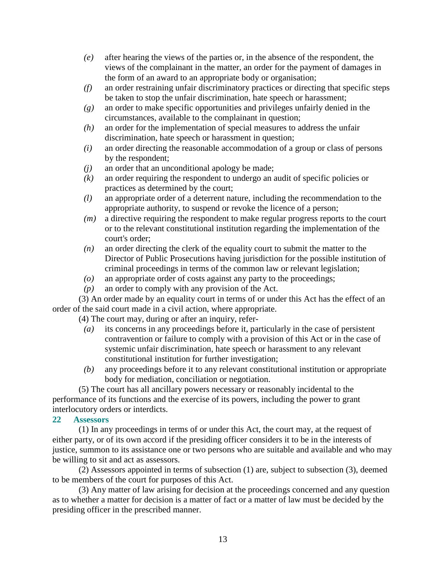- *(e)* after hearing the views of the parties or, in the absence of the respondent, the views of the complainant in the matter, an order for the payment of damages in the form of an award to an appropriate body or organisation;
- *(f)* an order restraining unfair discriminatory practices or directing that specific steps be taken to stop the unfair discrimination, hate speech or harassment;
- *(g)* an order to make specific opportunities and privileges unfairly denied in the circumstances, available to the complainant in question;
- *(h)* an order for the implementation of special measures to address the unfair discrimination, hate speech or harassment in question;
- *(i)* an order directing the reasonable accommodation of a group or class of persons by the respondent;
- *(j)* an order that an unconditional apology be made;
- *(k)* an order requiring the respondent to undergo an audit of specific policies or practices as determined by the court;
- *(l)* an appropriate order of a deterrent nature, including the recommendation to the appropriate authority, to suspend or revoke the licence of a person;
- *(m)* a directive requiring the respondent to make regular progress reports to the court or to the relevant constitutional institution regarding the implementation of the court's order;
- *(n)* an order directing the clerk of the equality court to submit the matter to the Director of Public Prosecutions having jurisdiction for the possible institution of criminal proceedings in terms of the common law or relevant legislation;
- *(o)* an appropriate order of costs against any party to the proceedings;
- *(p)* an order to comply with any provision of the Act.

 (3) An order made by an equality court in terms of or under this Act has the effect of an order of the said court made in a civil action, where appropriate.

(4) The court may, during or after an inquiry, refer-

- *(a)* its concerns in any proceedings before it, particularly in the case of persistent contravention or failure to comply with a provision of this Act or in the case of systemic unfair discrimination, hate speech or harassment to any relevant constitutional institution for further investigation;
- *(b)* any proceedings before it to any relevant constitutional institution or appropriate body for mediation, conciliation or negotiation.

 (5) The court has all ancillary powers necessary or reasonably incidental to the performance of its functions and the exercise of its powers, including the power to grant interlocutory orders or interdicts.

#### **22 Assessors**

 (1) In any proceedings in terms of or under this Act, the court may, at the request of either party, or of its own accord if the presiding officer considers it to be in the interests of justice, summon to its assistance one or two persons who are suitable and available and who may be willing to sit and act as assessors.

 (2) Assessors appointed in terms of subsection (1) are, subject to subsection (3), deemed to be members of the court for purposes of this Act.

 (3) Any matter of law arising for decision at the proceedings concerned and any question as to whether a matter for decision is a matter of fact or a matter of law must be decided by the presiding officer in the prescribed manner.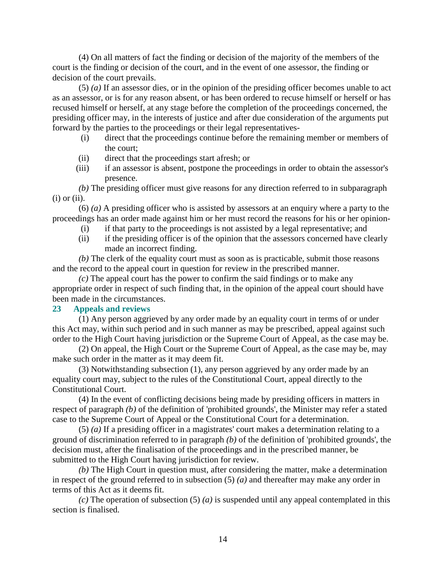(4) On all matters of fact the finding or decision of the majority of the members of the court is the finding or decision of the court, and in the event of one assessor, the finding or decision of the court prevails.

 (5) *(a)* If an assessor dies, or in the opinion of the presiding officer becomes unable to act as an assessor, or is for any reason absent, or has been ordered to recuse himself or herself or has recused himself or herself, at any stage before the completion of the proceedings concerned, the presiding officer may, in the interests of justice and after due consideration of the arguments put forward by the parties to the proceedings or their legal representatives-

- (i) direct that the proceedings continue before the remaining member or members of the court;
- (ii) direct that the proceedings start afresh; or
- (iii) if an assessor is absent, postpone the proceedings in order to obtain the assessor's presence.

*(b)* The presiding officer must give reasons for any direction referred to in subparagraph  $(i)$  or  $(ii)$ .

 (6) *(a)* A presiding officer who is assisted by assessors at an enquiry where a party to the proceedings has an order made against him or her must record the reasons for his or her opinion-

- (i) if that party to the proceedings is not assisted by a legal representative; and
- (ii) if the presiding officer is of the opinion that the assessors concerned have clearly made an incorrect finding.

*(b)* The clerk of the equality court must as soon as is practicable, submit those reasons and the record to the appeal court in question for review in the prescribed manner.

*(c)* The appeal court has the power to confirm the said findings or to make any appropriate order in respect of such finding that, in the opinion of the appeal court should have been made in the circumstances.

#### **23 Appeals and reviews**

 (1) Any person aggrieved by any order made by an equality court in terms of or under this Act may, within such period and in such manner as may be prescribed, appeal against such order to the High Court having jurisdiction or the Supreme Court of Appeal, as the case may be.

 (2) On appeal, the High Court or the Supreme Court of Appeal, as the case may be, may make such order in the matter as it may deem fit.

 (3) Notwithstanding subsection (1), any person aggrieved by any order made by an equality court may, subject to the rules of the Constitutional Court, appeal directly to the Constitutional Court.

 (4) In the event of conflicting decisions being made by presiding officers in matters in respect of paragraph *(b)* of the definition of 'prohibited grounds', the Minister may refer a stated case to the Supreme Court of Appeal or the Constitutional Court for a determination.

 (5) *(a)* If a presiding officer in a magistrates' court makes a determination relating to a ground of discrimination referred to in paragraph *(b)* of the definition of 'prohibited grounds', the decision must, after the finalisation of the proceedings and in the prescribed manner, be submitted to the High Court having jurisdiction for review.

*(b)* The High Court in question must, after considering the matter, make a determination in respect of the ground referred to in subsection (5) *(a)* and thereafter may make any order in terms of this Act as it deems fit.

 $(c)$  The operation of subsection  $(5)$   $(a)$  is suspended until any appeal contemplated in this section is finalised.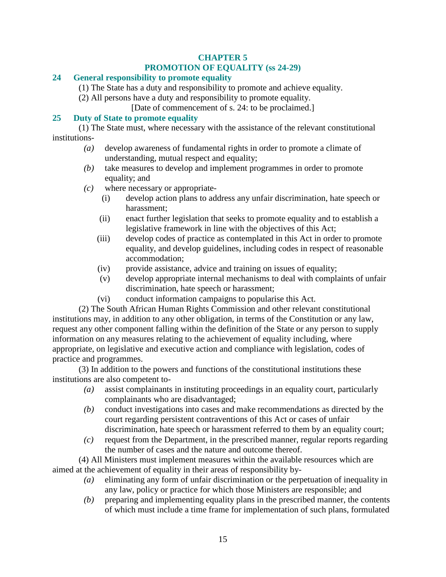#### **CHAPTER 5 PROMOTION OF EQUALITY (ss 24-29)**

#### **24 General responsibility to promote equality**

- (1) The State has a duty and responsibility to promote and achieve equality.
- (2) All persons have a duty and responsibility to promote equality.
	- [Date of commencement of s. 24: to be proclaimed.]

#### **25 Duty of State to promote equality**

 (1) The State must, where necessary with the assistance of the relevant constitutional institutions-

- *(a)* develop awareness of fundamental rights in order to promote a climate of understanding, mutual respect and equality;
- *(b)* take measures to develop and implement programmes in order to promote equality; and
- *(c)* where necessary or appropriate-
	- (i) develop action plans to address any unfair discrimination, hate speech or harassment;
	- (ii) enact further legislation that seeks to promote equality and to establish a legislative framework in line with the objectives of this Act;
	- (iii) develop codes of practice as contemplated in this Act in order to promote equality, and develop guidelines, including codes in respect of reasonable accommodation;
	- (iv) provide assistance, advice and training on issues of equality;
	- (v) develop appropriate internal mechanisms to deal with complaints of unfair discrimination, hate speech or harassment;
	- (vi) conduct information campaigns to popularise this Act.

 (2) The South African Human Rights Commission and other relevant constitutional institutions may, in addition to any other obligation, in terms of the Constitution or any law, request any other component falling within the definition of the State or any person to supply information on any measures relating to the achievement of equality including, where appropriate, on legislative and executive action and compliance with legislation, codes of practice and programmes.

 (3) In addition to the powers and functions of the constitutional institutions these institutions are also competent to-

- *(a)* assist complainants in instituting proceedings in an equality court, particularly complainants who are disadvantaged;
- *(b)* conduct investigations into cases and make recommendations as directed by the court regarding persistent contraventions of this Act or cases of unfair discrimination, hate speech or harassment referred to them by an equality court;
- *(c)* request from the Department, in the prescribed manner, regular reports regarding the number of cases and the nature and outcome thereof.

 (4) All Ministers must implement measures within the available resources which are aimed at the achievement of equality in their areas of responsibility by-

- *(a)* eliminating any form of unfair discrimination or the perpetuation of inequality in any law, policy or practice for which those Ministers are responsible; and
- *(b)* preparing and implementing equality plans in the prescribed manner, the contents of which must include a time frame for implementation of such plans, formulated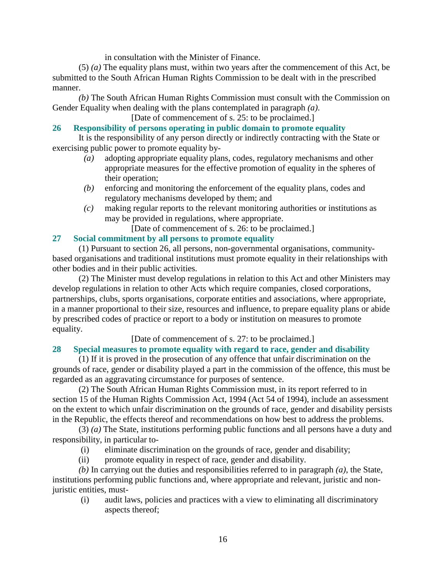in consultation with the Minister of Finance.

 (5) *(a)* The equality plans must, within two years after the commencement of this Act, be submitted to the South African Human Rights Commission to be dealt with in the prescribed manner.

*(b)* The South African Human Rights Commission must consult with the Commission on Gender Equality when dealing with the plans contemplated in paragraph *(a)*.

[Date of commencement of s. 25: to be proclaimed.]

#### **26 Responsibility of persons operating in public domain to promote equality**

 It is the responsibility of any person directly or indirectly contracting with the State or exercising public power to promote equality by-

- *(a)* adopting appropriate equality plans, codes, regulatory mechanisms and other appropriate measures for the effective promotion of equality in the spheres of their operation;
- *(b)* enforcing and monitoring the enforcement of the equality plans, codes and regulatory mechanisms developed by them; and
- *(c)* making regular reports to the relevant monitoring authorities or institutions as may be provided in regulations, where appropriate.
	- [Date of commencement of s. 26: to be proclaimed.]

#### **27 Social commitment by all persons to promote equality**

 (1) Pursuant to section 26, all persons, non-governmental organisations, communitybased organisations and traditional institutions must promote equality in their relationships with other bodies and in their public activities.

 (2) The Minister must develop regulations in relation to this Act and other Ministers may develop regulations in relation to other Acts which require companies, closed corporations, partnerships, clubs, sports organisations, corporate entities and associations, where appropriate, in a manner proportional to their size, resources and influence, to prepare equality plans or abide by prescribed codes of practice or report to a body or institution on measures to promote equality.

#### [Date of commencement of s. 27: to be proclaimed.]

#### **28 Special measures to promote equality with regard to race, gender and disability**

 (1) If it is proved in the prosecution of any offence that unfair discrimination on the grounds of race, gender or disability played a part in the commission of the offence, this must be regarded as an aggravating circumstance for purposes of sentence.

 (2) The South African Human Rights Commission must, in its report referred to in section 15 of the Human Rights Commission Act, 1994 (Act 54 of 1994), include an assessment on the extent to which unfair discrimination on the grounds of race, gender and disability persists in the Republic, the effects thereof and recommendations on how best to address the problems.

 (3) *(a)* The State, institutions performing public functions and all persons have a duty and responsibility, in particular to-

- (i) eliminate discrimination on the grounds of race, gender and disability;
- (ii) promote equality in respect of race, gender and disability.

*(b)* In carrying out the duties and responsibilities referred to in paragraph *(a)*, the State, institutions performing public functions and, where appropriate and relevant, juristic and nonjuristic entities, must-

 (i) audit laws, policies and practices with a view to eliminating all discriminatory aspects thereof;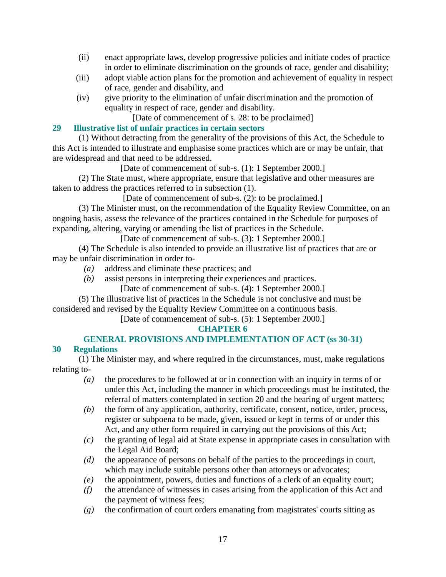- (ii) enact appropriate laws, develop progressive policies and initiate codes of practice in order to eliminate discrimination on the grounds of race, gender and disability;
- (iii) adopt viable action plans for the promotion and achievement of equality in respect of race, gender and disability, and
- (iv) give priority to the elimination of unfair discrimination and the promotion of equality in respect of race, gender and disability.

[Date of commencement of s. 28: to be proclaimed]

#### **29 Illustrative list of unfair practices in certain sectors**

 (1) Without detracting from the generality of the provisions of this Act, the Schedule to this Act is intended to illustrate and emphasise some practices which are or may be unfair, that are widespread and that need to be addressed.

[Date of commencement of sub-s. (1): 1 September 2000.]

 (2) The State must, where appropriate, ensure that legislative and other measures are taken to address the practices referred to in subsection (1).

[Date of commencement of sub-s. (2): to be proclaimed.]

 (3) The Minister must, on the recommendation of the Equality Review Committee, on an ongoing basis, assess the relevance of the practices contained in the Schedule for purposes of expanding, altering, varying or amending the list of practices in the Schedule.

[Date of commencement of sub-s. (3): 1 September 2000.]

 (4) The Schedule is also intended to provide an illustrative list of practices that are or may be unfair discrimination in order to-

- *(a)* address and eliminate these practices; and
- *(b)* assist persons in interpreting their experiences and practices.
	- [Date of commencement of sub-s. (4): 1 September 2000.]

 (5) The illustrative list of practices in the Schedule is not conclusive and must be considered and revised by the Equality Review Committee on a continuous basis.

[Date of commencement of sub-s. (5): 1 September 2000.]

#### **CHAPTER 6**

### **GENERAL PROVISIONS AND IMPLEMENTATION OF ACT (ss 30-31) 30 Regulations**

 (1) The Minister may, and where required in the circumstances, must, make regulations relating to-

- *(a)* the procedures to be followed at or in connection with an inquiry in terms of or under this Act, including the manner in which proceedings must be instituted, the referral of matters contemplated in section 20 and the hearing of urgent matters;
- *(b)* the form of any application, authority, certificate, consent, notice, order, process, register or subpoena to be made, given, issued or kept in terms of or under this Act, and any other form required in carrying out the provisions of this Act;
- *(c)* the granting of legal aid at State expense in appropriate cases in consultation with the Legal Aid Board;
- *(d)* the appearance of persons on behalf of the parties to the proceedings in court, which may include suitable persons other than attorneys or advocates;
- *(e)* the appointment, powers, duties and functions of a clerk of an equality court;
- *(f)* the attendance of witnesses in cases arising from the application of this Act and the payment of witness fees;
- *(g)* the confirmation of court orders emanating from magistrates' courts sitting as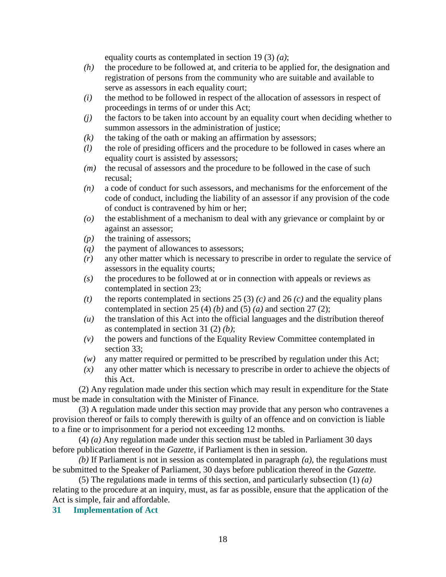equality courts as contemplated in section 19 (3) *(a)*;

- *(h)* the procedure to be followed at, and criteria to be applied for, the designation and registration of persons from the community who are suitable and available to serve as assessors in each equality court;
- *(i)* the method to be followed in respect of the allocation of assessors in respect of proceedings in terms of or under this Act;
- *(j)* the factors to be taken into account by an equality court when deciding whether to summon assessors in the administration of justice;
- $(k)$  the taking of the oath or making an affirmation by assessors;
- *(l)* the role of presiding officers and the procedure to be followed in cases where an equality court is assisted by assessors;
- *(m)* the recusal of assessors and the procedure to be followed in the case of such recusal;
- *(n)* a code of conduct for such assessors, and mechanisms for the enforcement of the code of conduct, including the liability of an assessor if any provision of the code of conduct is contravened by him or her;
- *(o)* the establishment of a mechanism to deal with any grievance or complaint by or against an assessor;
- *(p)* the training of assessors;
- *(q)* the payment of allowances to assessors;
- *(r)* any other matter which is necessary to prescribe in order to regulate the service of assessors in the equality courts;
- *(s)* the procedures to be followed at or in connection with appeals or reviews as contemplated in section 23;
- *(t)* the reports contemplated in sections 25 (3) *(c)* and 26 *(c)* and the equality plans contemplated in section 25 (4) *(b)* and (5) *(a)* and section 27 (2);
- $(u)$  the translation of this Act into the official languages and the distribution thereof as contemplated in section 31 (2) *(b)*;
- *(v)* the powers and functions of the Equality Review Committee contemplated in section 33;
- *(w)* any matter required or permitted to be prescribed by regulation under this Act;
- *(x)* any other matter which is necessary to prescribe in order to achieve the objects of this Act.

 (2) Any regulation made under this section which may result in expenditure for the State must be made in consultation with the Minister of Finance.

 (3) A regulation made under this section may provide that any person who contravenes a provision thereof or fails to comply therewith is guilty of an offence and on conviction is liable to a fine or to imprisonment for a period not exceeding 12 months.

 (4) *(a)* Any regulation made under this section must be tabled in Parliament 30 days before publication thereof in the *Gazette*, if Parliament is then in session.

*(b)* If Parliament is not in session as contemplated in paragraph *(a)*, the regulations must be submitted to the Speaker of Parliament, 30 days before publication thereof in the *Gazette*.

 (5) The regulations made in terms of this section, and particularly subsection (1) *(a)* relating to the procedure at an inquiry, must, as far as possible, ensure that the application of the Act is simple, fair and affordable.

**31 Implementation of Act**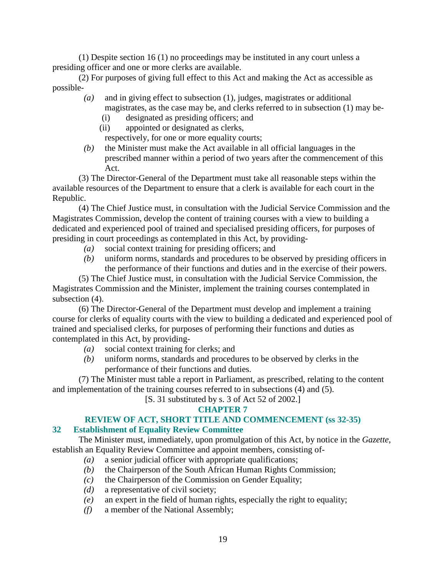(1) Despite section 16 (1) no proceedings may be instituted in any court unless a presiding officer and one or more clerks are available.

 (2) For purposes of giving full effect to this Act and making the Act as accessible as possible-

- *(a)* and in giving effect to subsection (1), judges, magistrates or additional magistrates, as the case may be, and clerks referred to in subsection (1) may be-
	- (i) designated as presiding officers; and
	- (ii) appointed or designated as clerks,

respectively, for one or more equality courts;

 *(b)* the Minister must make the Act available in all official languages in the prescribed manner within a period of two years after the commencement of this Act.

 (3) The Director-General of the Department must take all reasonable steps within the available resources of the Department to ensure that a clerk is available for each court in the Republic.

 (4) The Chief Justice must, in consultation with the Judicial Service Commission and the Magistrates Commission, develop the content of training courses with a view to building a dedicated and experienced pool of trained and specialised presiding officers, for purposes of presiding in court proceedings as contemplated in this Act, by providing-

- *(a)* social context training for presiding officers; and
- *(b)* uniform norms, standards and procedures to be observed by presiding officers in the performance of their functions and duties and in the exercise of their powers.

 (5) The Chief Justice must, in consultation with the Judicial Service Commission, the Magistrates Commission and the Minister, implement the training courses contemplated in subsection  $(4)$ .

 (6) The Director-General of the Department must develop and implement a training course for clerks of equality courts with the view to building a dedicated and experienced pool of trained and specialised clerks, for purposes of performing their functions and duties as contemplated in this Act, by providing-

- *(a)* social context training for clerks; and
- *(b)* uniform norms, standards and procedures to be observed by clerks in the performance of their functions and duties.

 (7) The Minister must table a report in Parliament, as prescribed, relating to the content and implementation of the training courses referred to in subsections (4) and (5).

[S. 31 substituted by s. 3 of Act 52 of 2002.]

### **CHAPTER 7**

# **REVIEW OF ACT, SHORT TITLE AND COMMENCEMENT (ss 32-35)**

### **32 Establishment of Equality Review Committee**

 The Minister must, immediately, upon promulgation of this Act, by notice in the *Gazette*, establish an Equality Review Committee and appoint members, consisting of-

- *(a)* a senior judicial officer with appropriate qualifications;
- *(b)* the Chairperson of the South African Human Rights Commission;
- *(c)* the Chairperson of the Commission on Gender Equality;
- *(d)* a representative of civil society;
- *(e)* an expert in the field of human rights, especially the right to equality;
- *(f)* a member of the National Assembly;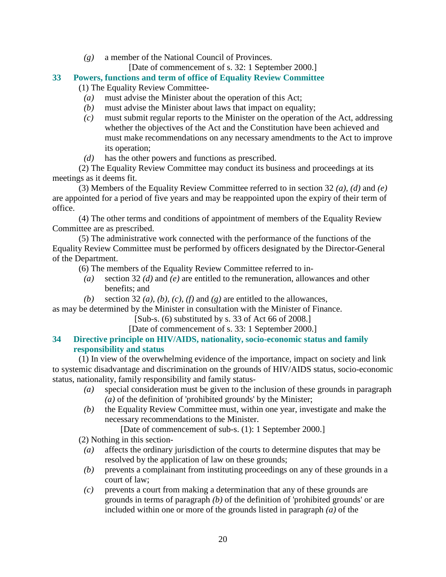*(g)* a member of the National Council of Provinces.

```
[Date of commencement of s. 32: 1 September 2000.]
```
#### **33 Powers, functions and term of office of Equality Review Committee**

(1) The Equality Review Committee-

- *(a)* must advise the Minister about the operation of this Act;
- *(b)* must advise the Minister about laws that impact on equality;
- *(c)* must submit regular reports to the Minister on the operation of the Act, addressing whether the objectives of the Act and the Constitution have been achieved and must make recommendations on any necessary amendments to the Act to improve its operation;
- *(d)* has the other powers and functions as prescribed.

 (2) The Equality Review Committee may conduct its business and proceedings at its meetings as it deems fit.

 (3) Members of the Equality Review Committee referred to in section 32 *(a)*, *(d)* and *(e)* are appointed for a period of five years and may be reappointed upon the expiry of their term of office.

 (4) The other terms and conditions of appointment of members of the Equality Review Committee are as prescribed.

 (5) The administrative work connected with the performance of the functions of the Equality Review Committee must be performed by officers designated by the Director-General of the Department.

(6) The members of the Equality Review Committee referred to in-

- *(a)* section 32 *(d)* and *(e)* are entitled to the remuneration, allowances and other benefits; and
- *(b)* section 32 *(a)*, *(b)*, *(c)*, *(f)* and *(g)* are entitled to the allowances,

as may be determined by the Minister in consultation with the Minister of Finance.

[Sub-s. (6) substituted by s. 33 of Act 66 of 2008.]

[Date of commencement of s. 33: 1 September 2000.]

#### **34 Directive principle on HIV/AIDS, nationality, socio-economic status and family responsibility and status**

 (1) In view of the overwhelming evidence of the importance, impact on society and link to systemic disadvantage and discrimination on the grounds of HIV/AIDS status, socio-economic status, nationality, family responsibility and family status-

- *(a)* special consideration must be given to the inclusion of these grounds in paragraph *(a)* of the definition of 'prohibited grounds' by the Minister;
- *(b)* the Equality Review Committee must, within one year, investigate and make the necessary recommendations to the Minister.

[Date of commencement of sub-s. (1): 1 September 2000.]

- (2) Nothing in this section-
	- *(a)* affects the ordinary jurisdiction of the courts to determine disputes that may be resolved by the application of law on these grounds;
	- *(b)* prevents a complainant from instituting proceedings on any of these grounds in a court of law;
	- *(c)* prevents a court from making a determination that any of these grounds are grounds in terms of paragraph *(b)* of the definition of 'prohibited grounds' or are included within one or more of the grounds listed in paragraph *(a)* of the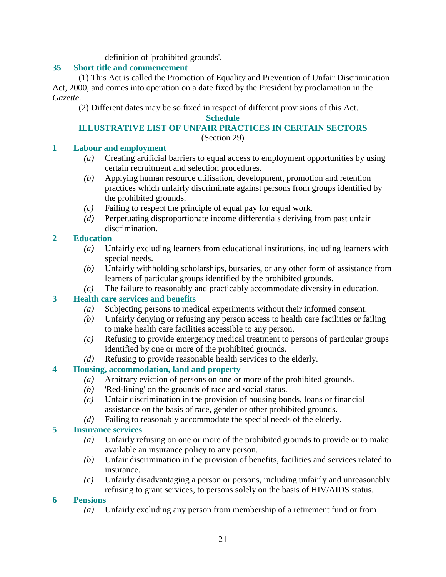definition of 'prohibited grounds'.

#### **35 Short title and commencement**

 (1) This Act is called the Promotion of Equality and Prevention of Unfair Discrimination Act, 2000, and comes into operation on a date fixed by the President by proclamation in the *Gazette*.

(2) Different dates may be so fixed in respect of different provisions of this Act.

#### **Schedule**

# **ILLUSTRATIVE LIST OF UNFAIR PRACTICES IN CERTAIN SECTORS**

#### (Section 29)

#### **1 Labour and employment**

- *(a)* Creating artificial barriers to equal access to employment opportunities by using certain recruitment and selection procedures.
- *(b)* Applying human resource utilisation, development, promotion and retention practices which unfairly discriminate against persons from groups identified by the prohibited grounds.
- *(c)* Failing to respect the principle of equal pay for equal work.
- *(d)* Perpetuating disproportionate income differentials deriving from past unfair discrimination.

#### **2 Education**

- *(a)* Unfairly excluding learners from educational institutions, including learners with special needs.
- *(b)* Unfairly withholding scholarships, bursaries, or any other form of assistance from learners of particular groups identified by the prohibited grounds.
- *(c)* The failure to reasonably and practicably accommodate diversity in education.

#### **3 Health care services and benefits**

- *(a)* Subjecting persons to medical experiments without their informed consent.
- *(b)* Unfairly denying or refusing any person access to health care facilities or failing to make health care facilities accessible to any person.
- *(c)* Refusing to provide emergency medical treatment to persons of particular groups identified by one or more of the prohibited grounds.
- *(d)* Refusing to provide reasonable health services to the elderly.

### **4 Housing, accommodation, land and property**

- *(a)* Arbitrary eviction of persons on one or more of the prohibited grounds.
- *(b)* 'Red-lining' on the grounds of race and social status.
- *(c)* Unfair discrimination in the provision of housing bonds, loans or financial assistance on the basis of race, gender or other prohibited grounds.
- *(d)* Failing to reasonably accommodate the special needs of the elderly.

#### **5 Insurance services**

- *(a)* Unfairly refusing on one or more of the prohibited grounds to provide or to make available an insurance policy to any person.
- *(b)* Unfair discrimination in the provision of benefits, facilities and services related to insurance.
- *(c)* Unfairly disadvantaging a person or persons, including unfairly and unreasonably refusing to grant services, to persons solely on the basis of HIV/AIDS status.

#### **6 Pensions**

*(a)* Unfairly excluding any person from membership of a retirement fund or from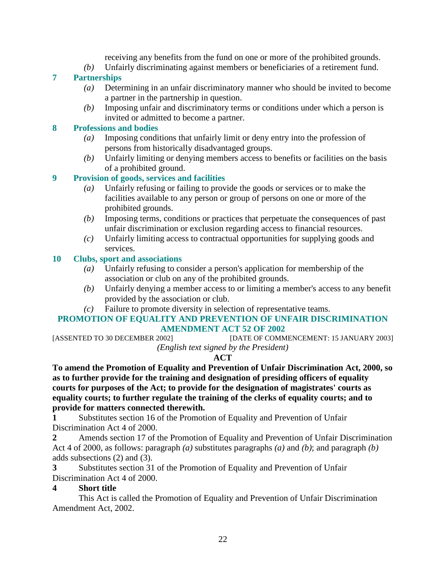receiving any benefits from the fund on one or more of the prohibited grounds.

*(b)* Unfairly discriminating against members or beneficiaries of a retirement fund.

#### **7 Partnerships**

- *(a)* Determining in an unfair discriminatory manner who should be invited to become a partner in the partnership in question.
- *(b)* Imposing unfair and discriminatory terms or conditions under which a person is invited or admitted to become a partner.

#### **8 Professions and bodies**

- *(a)* Imposing conditions that unfairly limit or deny entry into the profession of persons from historically disadvantaged groups.
- *(b)* Unfairly limiting or denying members access to benefits or facilities on the basis of a prohibited ground.

#### **9 Provision of goods, services and facilities**

- *(a)* Unfairly refusing or failing to provide the goods or services or to make the facilities available to any person or group of persons on one or more of the prohibited grounds.
- *(b)* Imposing terms, conditions or practices that perpetuate the consequences of past unfair discrimination or exclusion regarding access to financial resources.
- *(c)* Unfairly limiting access to contractual opportunities for supplying goods and services.

#### **10 Clubs, sport and associations**

- *(a)* Unfairly refusing to consider a person's application for membership of the association or club on any of the prohibited grounds.
- *(b)* Unfairly denying a member access to or limiting a member's access to any benefit provided by the association or club.
- *(c)* Failure to promote diversity in selection of representative teams.

# **PROMOTION OF EQUALITY AND PREVENTION OF UNFAIR DISCRIMINATION AMENDMENT ACT 52 OF 2002**<br>[DATE OF COMM] [DATE OF COMM]

[DATE OF COMMENCEMENT: 15 JANUARY 2003] *(English text signed by the President)* 

#### **ACT**

**To amend the Promotion of Equality and Prevention of Unfair Discrimination Act, 2000, so as to further provide for the training and designation of presiding officers of equality courts for purposes of the Act; to provide for the designation of magistrates' courts as equality courts; to further regulate the training of the clerks of equality courts; and to provide for matters connected therewith.** 

**1** Substitutes section 16 of the Promotion of Equality and Prevention of Unfair Discrimination Act 4 of 2000.

**2** Amends section 17 of the Promotion of Equality and Prevention of Unfair Discrimination Act 4 of 2000, as follows: paragraph *(a)* substitutes paragraphs *(a)* and *(b)*; and paragraph *(b)* adds subsections (2) and (3).

**3** Substitutes section 31 of the Promotion of Equality and Prevention of Unfair Discrimination Act 4 of 2000.

#### **4 Short title**

 This Act is called the Promotion of Equality and Prevention of Unfair Discrimination Amendment Act, 2002.